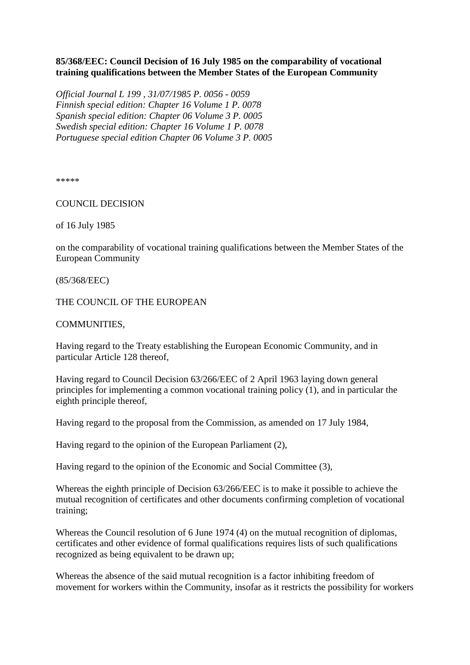## **85/368/EEC: Council Decision of 16 July 1985 on the comparability of vocational training qualifications between the Member States of the European Community**

*Official Journal L 199 , 31/07/1985 P. 0056 - 0059 Finnish special edition: Chapter 16 Volume 1 P. 0078 Spanish special edition: Chapter 06 Volume 3 P. 0005 Swedish special edition: Chapter 16 Volume 1 P. 0078 Portuguese special edition Chapter 06 Volume 3 P. 0005* 

\*\*\*\*\*

#### COUNCIL DECISION

of 16 July 1985

on the comparability of vocational training qualifications between the Member States of the European Community

(85/368/EEC)

THE COUNCIL OF THE EUROPEAN

COMMUNITIES,

Having regard to the Treaty establishing the European Economic Community, and in particular Article 128 thereof,

Having regard to Council Decision 63/266/EEC of 2 April 1963 laying down general principles for implementing a common vocational training policy (1), and in particular the eighth principle thereof,

Having regard to the proposal from the Commission, as amended on 17 July 1984,

Having regard to the opinion of the European Parliament (2),

Having regard to the opinion of the Economic and Social Committee (3),

Whereas the eighth principle of Decision 63/266/EEC is to make it possible to achieve the mutual recognition of certificates and other documents confirming completion of vocational training;

Whereas the Council resolution of 6 June 1974 (4) on the mutual recognition of diplomas, certificates and other evidence of formal qualifications requires lists of such qualifications recognized as being equivalent to be drawn up;

Whereas the absence of the said mutual recognition is a factor inhibiting freedom of movement for workers within the Community, insofar as it restricts the possibility for workers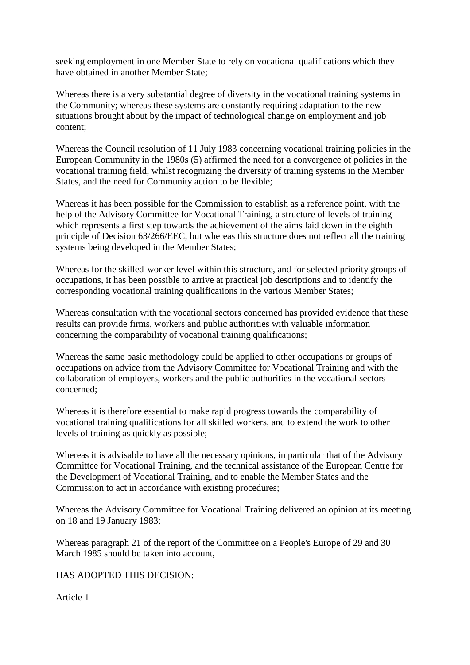seeking employment in one Member State to rely on vocational qualifications which they have obtained in another Member State;

Whereas there is a very substantial degree of diversity in the vocational training systems in the Community; whereas these systems are constantly requiring adaptation to the new situations brought about by the impact of technological change on employment and job content;

Whereas the Council resolution of 11 July 1983 concerning vocational training policies in the European Community in the 1980s (5) affirmed the need for a convergence of policies in the vocational training field, whilst recognizing the diversity of training systems in the Member States, and the need for Community action to be flexible;

Whereas it has been possible for the Commission to establish as a reference point, with the help of the Advisory Committee for Vocational Training, a structure of levels of training which represents a first step towards the achievement of the aims laid down in the eighth principle of Decision 63/266/EEC, but whereas this structure does not reflect all the training systems being developed in the Member States;

Whereas for the skilled-worker level within this structure, and for selected priority groups of occupations, it has been possible to arrive at practical job descriptions and to identify the corresponding vocational training qualifications in the various Member States;

Whereas consultation with the vocational sectors concerned has provided evidence that these results can provide firms, workers and public authorities with valuable information concerning the comparability of vocational training qualifications;

Whereas the same basic methodology could be applied to other occupations or groups of occupations on advice from the Advisory Committee for Vocational Training and with the collaboration of employers, workers and the public authorities in the vocational sectors concerned;

Whereas it is therefore essential to make rapid progress towards the comparability of vocational training qualifications for all skilled workers, and to extend the work to other levels of training as quickly as possible;

Whereas it is advisable to have all the necessary opinions, in particular that of the Advisory Committee for Vocational Training, and the technical assistance of the European Centre for the Development of Vocational Training, and to enable the Member States and the Commission to act in accordance with existing procedures;

Whereas the Advisory Committee for Vocational Training delivered an opinion at its meeting on 18 and 19 January 1983;

Whereas paragraph 21 of the report of the Committee on a People's Europe of 29 and 30 March 1985 should be taken into account,

HAS ADOPTED THIS DECISION:

Article 1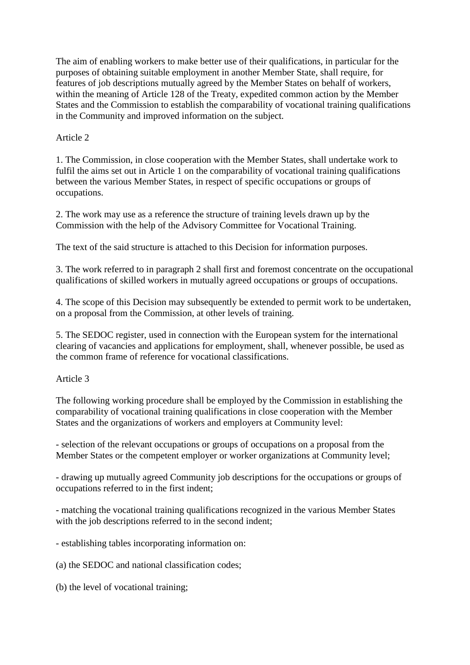The aim of enabling workers to make better use of their qualifications, in particular for the purposes of obtaining suitable employment in another Member State, shall require, for features of job descriptions mutually agreed by the Member States on behalf of workers, within the meaning of Article 128 of the Treaty, expedited common action by the Member States and the Commission to establish the comparability of vocational training qualifications in the Community and improved information on the subject.

## Article 2

1. The Commission, in close cooperation with the Member States, shall undertake work to fulfil the aims set out in Article 1 on the comparability of vocational training qualifications between the various Member States, in respect of specific occupations or groups of occupations.

2. The work may use as a reference the structure of training levels drawn up by the Commission with the help of the Advisory Committee for Vocational Training.

The text of the said structure is attached to this Decision for information purposes.

3. The work referred to in paragraph 2 shall first and foremost concentrate on the occupational qualifications of skilled workers in mutually agreed occupations or groups of occupations.

4. The scope of this Decision may subsequently be extended to permit work to be undertaken, on a proposal from the Commission, at other levels of training.

5. The SEDOC register, used in connection with the European system for the international clearing of vacancies and applications for employment, shall, whenever possible, be used as the common frame of reference for vocational classifications.

## Article 3

The following working procedure shall be employed by the Commission in establishing the comparability of vocational training qualifications in close cooperation with the Member States and the organizations of workers and employers at Community level:

- selection of the relevant occupations or groups of occupations on a proposal from the Member States or the competent employer or worker organizations at Community level;

- drawing up mutually agreed Community job descriptions for the occupations or groups of occupations referred to in the first indent;

- matching the vocational training qualifications recognized in the various Member States with the job descriptions referred to in the second indent;

- establishing tables incorporating information on:

(a) the SEDOC and national classification codes;

(b) the level of vocational training;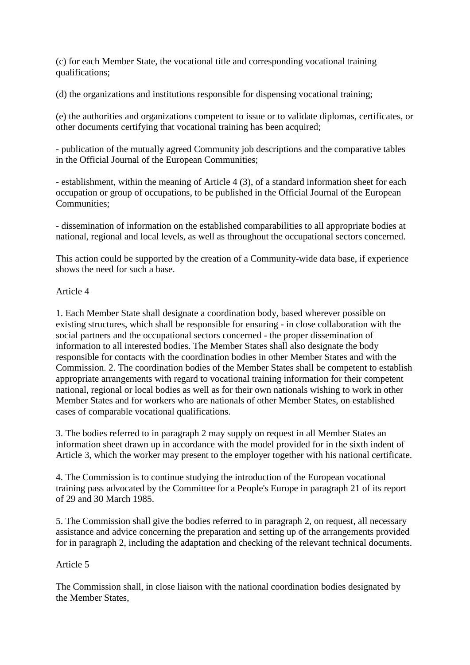(c) for each Member State, the vocational title and corresponding vocational training qualifications;

(d) the organizations and institutions responsible for dispensing vocational training;

(e) the authorities and organizations competent to issue or to validate diplomas, certificates, or other documents certifying that vocational training has been acquired;

- publication of the mutually agreed Community job descriptions and the comparative tables in the Official Journal of the European Communities;

- establishment, within the meaning of Article 4 (3), of a standard information sheet for each occupation or group of occupations, to be published in the Official Journal of the European Communities;

- dissemination of information on the established comparabilities to all appropriate bodies at national, regional and local levels, as well as throughout the occupational sectors concerned.

This action could be supported by the creation of a Community-wide data base, if experience shows the need for such a base.

#### $Articl<sub>e</sub>$  4

1. Each Member State shall designate a coordination body, based wherever possible on existing structures, which shall be responsible for ensuring - in close collaboration with the social partners and the occupational sectors concerned - the proper dissemination of information to all interested bodies. The Member States shall also designate the body responsible for contacts with the coordination bodies in other Member States and with the Commission. 2. The coordination bodies of the Member States shall be competent to establish appropriate arrangements with regard to vocational training information for their competent national, regional or local bodies as well as for their own nationals wishing to work in other Member States and for workers who are nationals of other Member States, on established cases of comparable vocational qualifications.

3. The bodies referred to in paragraph 2 may supply on request in all Member States an information sheet drawn up in accordance with the model provided for in the sixth indent of Article 3, which the worker may present to the employer together with his national certificate.

4. The Commission is to continue studying the introduction of the European vocational training pass advocated by the Committee for a People's Europe in paragraph 21 of its report of 29 and 30 March 1985.

5. The Commission shall give the bodies referred to in paragraph 2, on request, all necessary assistance and advice concerning the preparation and setting up of the arrangements provided for in paragraph 2, including the adaptation and checking of the relevant technical documents.

## Article 5

The Commission shall, in close liaison with the national coordination bodies designated by the Member States,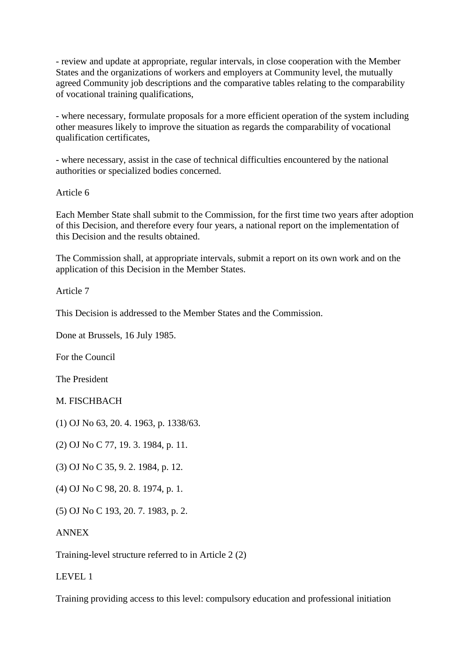- review and update at appropriate, regular intervals, in close cooperation with the Member States and the organizations of workers and employers at Community level, the mutually agreed Community job descriptions and the comparative tables relating to the comparability of vocational training qualifications,

- where necessary, formulate proposals for a more efficient operation of the system including other measures likely to improve the situation as regards the comparability of vocational qualification certificates,

- where necessary, assist in the case of technical difficulties encountered by the national authorities or specialized bodies concerned.

Article 6

Each Member State shall submit to the Commission, for the first time two years after adoption of this Decision, and therefore every four years, a national report on the implementation of this Decision and the results obtained.

The Commission shall, at appropriate intervals, submit a report on its own work and on the application of this Decision in the Member States.

Article 7

This Decision is addressed to the Member States and the Commission.

Done at Brussels, 16 July 1985.

For the Council

The President

M. FISCHBACH

(1) OJ No 63, 20. 4. 1963, p. 1338/63.

(2) OJ No C 77, 19. 3. 1984, p. 11.

- (3) OJ No C 35, 9. 2. 1984, p. 12.
- (4) OJ No C 98, 20. 8. 1974, p. 1.
- (5) OJ No C 193, 20. 7. 1983, p. 2.

ANNEX

Training-level structure referred to in Article 2 (2)

LEVEL 1

Training providing access to this level: compulsory education and professional initiation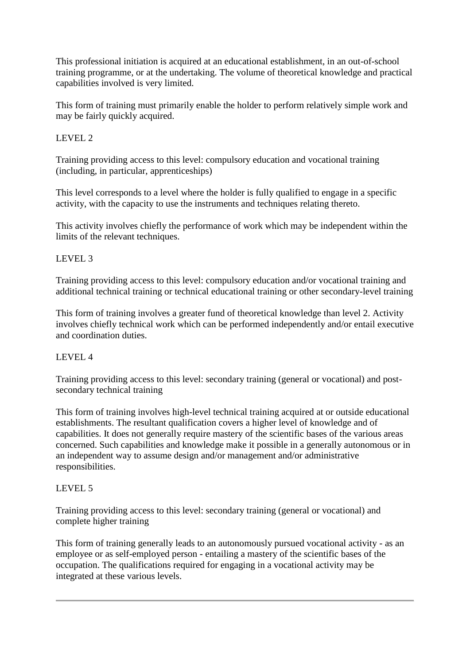This professional initiation is acquired at an educational establishment, in an out-of-school training programme, or at the undertaking. The volume of theoretical knowledge and practical capabilities involved is very limited.

This form of training must primarily enable the holder to perform relatively simple work and may be fairly quickly acquired.

# LEVEL 2

Training providing access to this level: compulsory education and vocational training (including, in particular, apprenticeships)

This level corresponds to a level where the holder is fully qualified to engage in a specific activity, with the capacity to use the instruments and techniques relating thereto.

This activity involves chiefly the performance of work which may be independent within the limits of the relevant techniques.

#### LEVEL 3

Training providing access to this level: compulsory education and/or vocational training and additional technical training or technical educational training or other secondary-level training

This form of training involves a greater fund of theoretical knowledge than level 2. Activity involves chiefly technical work which can be performed independently and/or entail executive and coordination duties.

## LEVEL 4

Training providing access to this level: secondary training (general or vocational) and postsecondary technical training

This form of training involves high-level technical training acquired at or outside educational establishments. The resultant qualification covers a higher level of knowledge and of capabilities. It does not generally require mastery of the scientific bases of the various areas concerned. Such capabilities and knowledge make it possible in a generally autonomous or in an independent way to assume design and/or management and/or administrative responsibilities.

#### LEVEL 5

Training providing access to this level: secondary training (general or vocational) and complete higher training

This form of training generally leads to an autonomously pursued vocational activity - as an employee or as self-employed person - entailing a mastery of the scientific bases of the occupation. The qualifications required for engaging in a vocational activity may be integrated at these various levels.